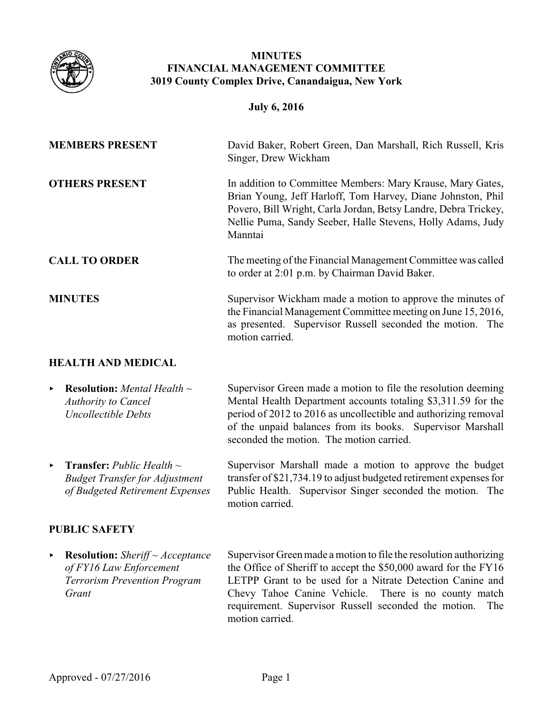

## **MINUTES FINANCIAL MANAGEMENT COMMITTEE 3019 County Complex Drive, Canandaigua, New York**

### **July 6, 2016**

| <b>MEMBERS PRESENT</b>    | David Baker, Robert Green, Dan Marshall, Rich Russell, Kris<br>Singer, Drew Wickham                                                                                                                                                                                    |
|---------------------------|------------------------------------------------------------------------------------------------------------------------------------------------------------------------------------------------------------------------------------------------------------------------|
| <b>OTHERS PRESENT</b>     | In addition to Committee Members: Mary Krause, Mary Gates,<br>Brian Young, Jeff Harloff, Tom Harvey, Diane Johnston, Phil<br>Povero, Bill Wright, Carla Jordan, Betsy Landre, Debra Trickey,<br>Nellie Puma, Sandy Seeber, Halle Stevens, Holly Adams, Judy<br>Manntai |
| <b>CALL TO ORDER</b>      | The meeting of the Financial Management Committee was called<br>to order at 2:01 p.m. by Chairman David Baker.                                                                                                                                                         |
| <b>MINUTES</b>            | Supervisor Wickham made a motion to approve the minutes of<br>the Financial Management Committee meeting on June 15, 2016,<br>as presented. Supervisor Russell seconded the motion. The<br>motion carried.                                                             |
| <b>HEALTH AND MEDICAL</b> |                                                                                                                                                                                                                                                                        |

- < **Resolution:** *Mental Health ~ Authority to Cancel Uncollectible Debts* Supervisor Green made a motion to file the resolution deeming Mental Health Department accounts totaling \$3,311.59 for the period of 2012 to 2016 as uncollectible and authorizing removal of the unpaid balances from its books. Supervisor Marshall seconded the motion. The motion carried.
- < **Transfer:** *Public Health ~ Budget Transfer for Adjustment of Budgeted Retirement Expenses* Supervisor Marshall made a motion to approve the budget transfer of \$21,734.19 to adjust budgeted retirement expenses for Public Health. Supervisor Singer seconded the motion. The motion carried.

# **PUBLIC SAFETY**

< **Resolution:** *Sheriff ~ Acceptance of FY16 Law Enforcement Terrorism Prevention Program Grant*

Supervisor Green made a motion to file the resolution authorizing the Office of Sheriff to accept the \$50,000 award for the FY16 LETPP Grant to be used for a Nitrate Detection Canine and Chevy Tahoe Canine Vehicle. There is no county match requirement. Supervisor Russell seconded the motion. The motion carried.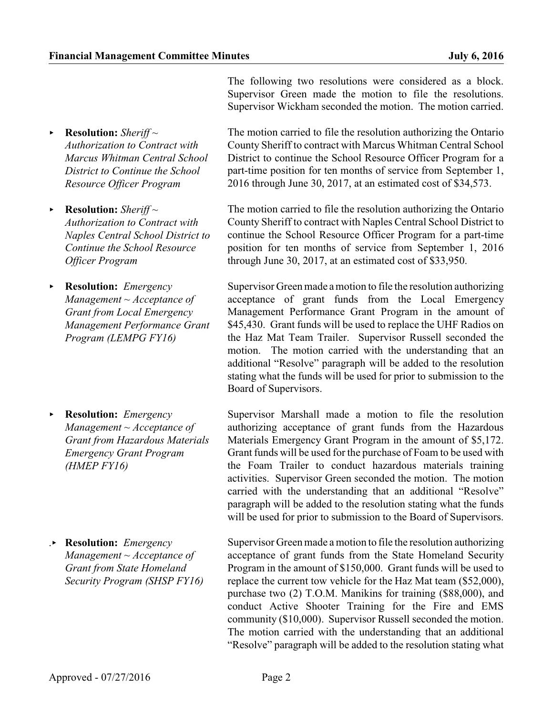The following two resolutions were considered as a block. Supervisor Green made the motion to file the resolutions. Supervisor Wickham seconded the motion. The motion carried.

- < **Resolution:** *Sheriff ~ Authorization to Contract with Marcus Whitman Central School District to Continue the School Resource Officer Program*
- < **Resolution:** *Sheriff ~ Authorization to Contract with Naples Central School District to Continue the School Resource Officer Program*
- < **Resolution:** *Emergency Management ~ Acceptance of Grant from Local Emergency Management Performance Grant Program (LEMPG FY16)*
- < **Resolution:** *Emergency Management ~ Acceptance of Grant from Hazardous Materials Emergency Grant Program (HMEP FY16)*
- .< **Resolution:** *Emergency Management ~ Acceptance of Grant from State Homeland Security Program (SHSP FY16)*

The motion carried to file the resolution authorizing the Ontario County Sheriff to contract with Marcus Whitman Central School District to continue the School Resource Officer Program for a part-time position for ten months of service from September 1, 2016 through June 30, 2017, at an estimated cost of \$34,573.

The motion carried to file the resolution authorizing the Ontario County Sheriff to contract with Naples Central School District to continue the School Resource Officer Program for a part-time position for ten months of service from September 1, 2016 through June 30, 2017, at an estimated cost of \$33,950.

Supervisor Green made amotion to file the resolution authorizing acceptance of grant funds from the Local Emergency Management Performance Grant Program in the amount of \$45,430. Grant funds will be used to replace the UHF Radios on the Haz Mat Team Trailer. Supervisor Russell seconded the motion. The motion carried with the understanding that an additional "Resolve" paragraph will be added to the resolution stating what the funds will be used for prior to submission to the Board of Supervisors.

Supervisor Marshall made a motion to file the resolution authorizing acceptance of grant funds from the Hazardous Materials Emergency Grant Program in the amount of \$5,172. Grant funds will be used for the purchase of Foam to be used with the Foam Trailer to conduct hazardous materials training activities. Supervisor Green seconded the motion. The motion carried with the understanding that an additional "Resolve" paragraph will be added to the resolution stating what the funds will be used for prior to submission to the Board of Supervisors.

Supervisor Green made a motion to file the resolution authorizing acceptance of grant funds from the State Homeland Security Program in the amount of \$150,000. Grant funds will be used to replace the current tow vehicle for the Haz Mat team (\$52,000), purchase two (2) T.O.M. Manikins for training (\$88,000), and conduct Active Shooter Training for the Fire and EMS community (\$10,000). Supervisor Russell seconded the motion. The motion carried with the understanding that an additional "Resolve" paragraph will be added to the resolution stating what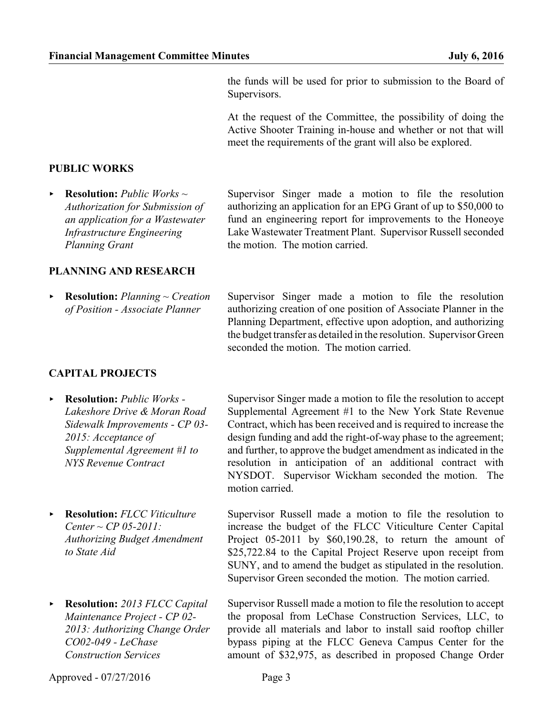the funds will be used for prior to submission to the Board of Supervisors.

At the request of the Committee, the possibility of doing the Active Shooter Training in-house and whether or not that will meet the requirements of the grant will also be explored.

#### **PUBLIC WORKS**

< **Resolution:** *Public Works ~ Authorization for Submission of an application for a Wastewater Infrastructure Engineering Planning Grant*

#### **PLANNING AND RESEARCH**

< **Resolution:** *Planning ~ Creation of Position - Associate Planner*

Supervisor Singer made a motion to file the resolution authorizing an application for an EPG Grant of up to \$50,000 to fund an engineering report for improvements to the Honeoye Lake Wastewater Treatment Plant. Supervisor Russell seconded the motion. The motion carried.

Supervisor Singer made a motion to file the resolution authorizing creation of one position of Associate Planner in the Planning Department, effective upon adoption, and authorizing the budget transfer as detailed in the resolution. Supervisor Green seconded the motion. The motion carried.

### **CAPITAL PROJECTS**

- < **Resolution:** *Public Works - Lakeshore Drive & Moran Road Sidewalk Improvements - CP 03- 2015: Acceptance of Supplemental Agreement #1 to NYS Revenue Contract*
- < **Resolution:** *FLCC Viticulture Center ~ CP 05-2011: Authorizing Budget Amendment to State Aid*
- < **Resolution:** *2013 FLCC Capital Maintenance Project - CP 02- 2013: Authorizing Change Order CO02-049 - LeChase Construction Services*

Supervisor Singer made a motion to file the resolution to accept Supplemental Agreement #1 to the New York State Revenue Contract, which has been received and is required to increase the design funding and add the right-of-way phase to the agreement; and further, to approve the budget amendment as indicated in the resolution in anticipation of an additional contract with NYSDOT. Supervisor Wickham seconded the motion. The motion carried.

Supervisor Russell made a motion to file the resolution to increase the budget of the FLCC Viticulture Center Capital Project 05-2011 by \$60,190.28, to return the amount of \$25,722.84 to the Capital Project Reserve upon receipt from SUNY, and to amend the budget as stipulated in the resolution. Supervisor Green seconded the motion. The motion carried.

Supervisor Russell made a motion to file the resolution to accept the proposal from LeChase Construction Services, LLC, to provide all materials and labor to install said rooftop chiller bypass piping at the FLCC Geneva Campus Center for the amount of \$32,975, as described in proposed Change Order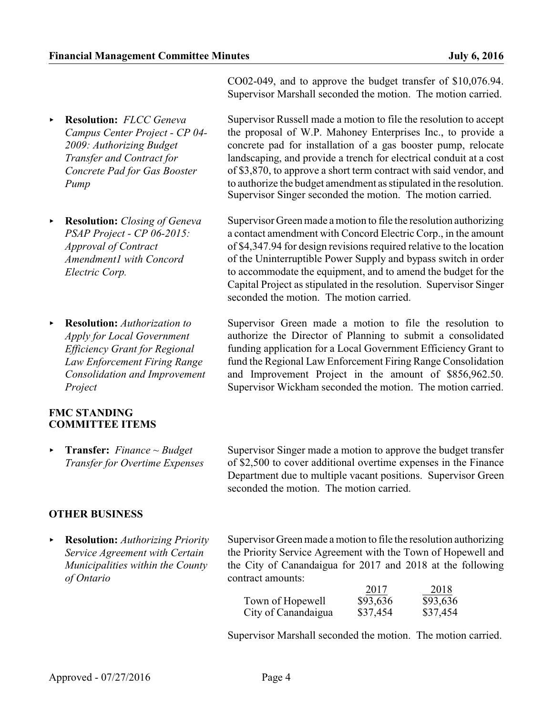- < **Resolution:** *FLCC Geneva Campus Center Project - CP 04- 2009: Authorizing Budget Transfer and Contract for Concrete Pad for Gas Booster Pump*
- < **Resolution:** *Closing of Geneva PSAP Project - CP 06-2015: Approval of Contract Amendment1 with Concord Electric Corp.*
- < **Resolution:** *Authorization to Apply for Local Government Efficiency Grant for Regional Law Enforcement Firing Range Consolidation and Improvement Project*

#### **FMC STANDING COMMITTEE ITEMS**

< **Transfer:** *Finance ~ Budget Transfer for Overtime Expenses*

# **OTHER BUSINESS**

< **Resolution:** *Authorizing Priority Service Agreement with Certain Municipalities within the County of Ontario*

CO02-049, and to approve the budget transfer of \$10,076.94. Supervisor Marshall seconded the motion. The motion carried.

Supervisor Russell made a motion to file the resolution to accept the proposal of W.P. Mahoney Enterprises Inc., to provide a concrete pad for installation of a gas booster pump, relocate landscaping, and provide a trench for electrical conduit at a cost of \$3,870, to approve a short term contract with said vendor, and to authorize the budget amendment as stipulated in the resolution. Supervisor Singer seconded the motion. The motion carried.

Supervisor Green made amotion to file the resolution authorizing a contact amendment with Concord Electric Corp., in the amount of \$4,347.94 for design revisions required relative to the location of the Uninterruptible Power Supply and bypass switch in order to accommodate the equipment, and to amend the budget for the Capital Project as stipulated in the resolution. Supervisor Singer seconded the motion. The motion carried.

Supervisor Green made a motion to file the resolution to authorize the Director of Planning to submit a consolidated funding application for a Local Government Efficiency Grant to fund the Regional Law Enforcement Firing Range Consolidation and Improvement Project in the amount of \$856,962.50. Supervisor Wickham seconded the motion. The motion carried.

Supervisor Singer made a motion to approve the budget transfer of \$2,500 to cover additional overtime expenses in the Finance Department due to multiple vacant positions. Supervisor Green seconded the motion. The motion carried.

Supervisor Green made a motion to file the resolution authorizing the Priority Service Agreement with the Town of Hopewell and the City of Canandaigua for 2017 and 2018 at the following contract amounts:

|                     | 2017     | 2018     |
|---------------------|----------|----------|
| Town of Hopewell    | \$93,636 | \$93,636 |
| City of Canandaigua | \$37,454 | \$37,454 |

Supervisor Marshall seconded the motion. The motion carried.